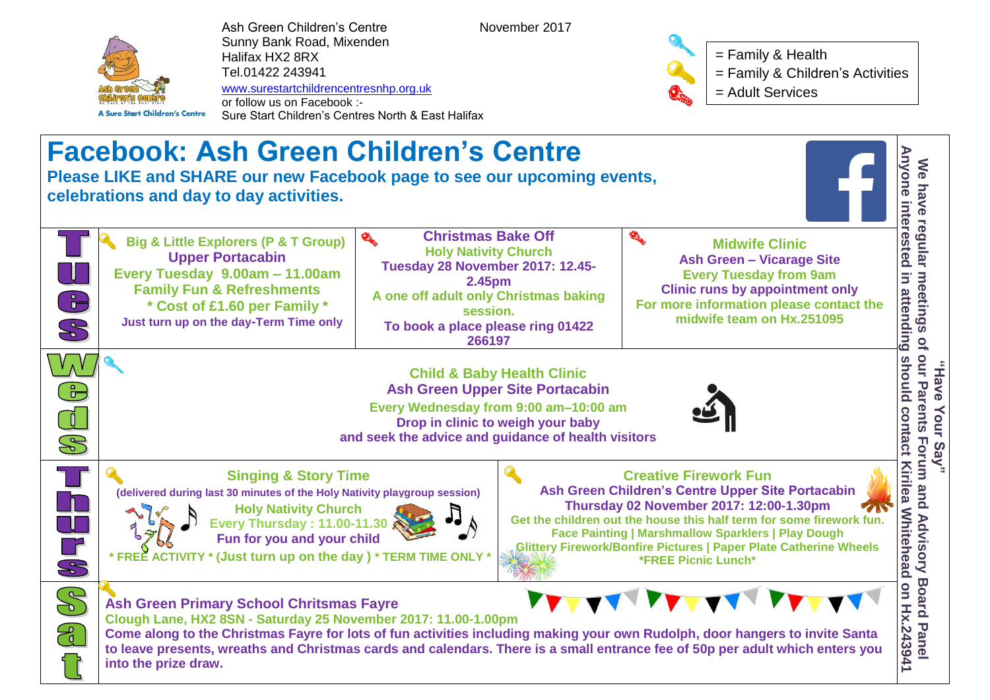

Ash Green Children's Centre November 2017 Sunny Bank Road, Mixenden Halifax HX2 8RX Tel.01422 243941 [www.surestartchildrencentresnhp.org.uk](http://www.nehalifaxchildrenscentres.org.uk/) or follow us on Facebook :-

Sure Start Children's Centres North & East Halifax



= Family & Health

= Family & Children's Activities

= Adult Services

**Facebook: Ash Green Children's Centre Please LIKE and SHARE our new Facebook page to see our upcoming events, celebrations and day to day activities. Place DISON Contact Any Contact Any of Our Say and Say of our Parents For Contact Any of the Contact Anyone interest<br>
Place Anyone interest Panel Anyone interest Panel Anyone interest Panel Anyone interest Panel Anyone in Big & Little Explorers (P & T Group) Upper Portacabin Every Tuesday 9.00am – 11.00am Family Fun & Refreshments \* Cost of £1.60 per Family \* Just turn up on the day-Term Time only Christmas Bake Off Holy Nativity Church Tuesday 28 November 2017: 12.45- 2.45pm A one off adult only Christmas baking session. To book a place please ring 01422 266197 Midwife Clinic Ash Green – Vicarage Site Every Tuesday from 9am Clinic runs by appointment only For more information please contact the midwife team on Hx.251095 Child & Baby Health Clinic Ash Green Upper Site Portacabin Every Wednesday from 9:00 am–10:00 am Drop in clinic to weigh your baby and seek the advice and guidance of health visitors Singing & Story Time (delivered during last 30 minutes of the Holy Nativity playgroup session) Holy Nativity Church Every Thursday : 11.00-11.30 Fun for you and your child \* FREE ACTIVITY \* (Just turn up on the day ) \* TERM TIME ONLY \* Creative Firework Fun Ash Green Children's Centre Upper Site Portacabin Thursday 02 November 2017: 12:00-1.30pm Get the children out the house this half term for some firework fun. Face Painting | Marshmallow Sparklers | Play Dough Glittery Firework/Bonfire Pictures | Paper Plate Catherine Wheels \*FREE Picnic Lunch\* Ash Green Primary School Chritsmas Fayre Clough Lane, HX2 8SN - Saturday 25 November 2017: 11.00-1.00pm Come along to the Christmas Fayre for lots of fun activities including making your own Rudolph, door hangers to invite Santa to leave presents, wreaths and Christmas cards and calendars. There is a small entrance fee of 50p per adult which enters you** 

**into the prize draw.**